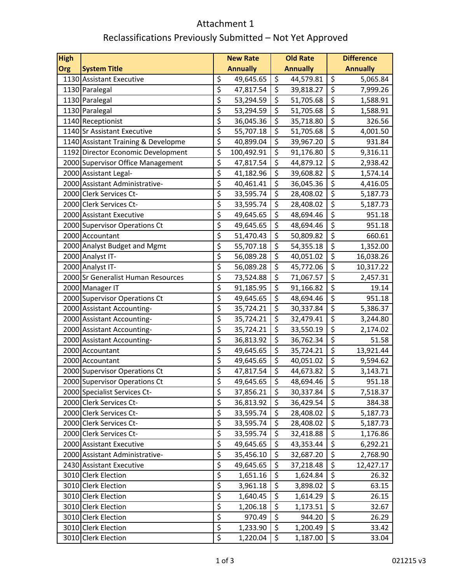## Attachment 1 Reclassifications Previously Submitted – Not Yet Approved

| <b>High</b> |                                     |                        | <b>New Rate</b> |                  | <b>Old Rate</b> |                        | <b>Difference</b> |
|-------------|-------------------------------------|------------------------|-----------------|------------------|-----------------|------------------------|-------------------|
| Org         | <b>System Title</b>                 |                        | <b>Annually</b> |                  | <b>Annually</b> |                        | <b>Annually</b>   |
|             | 1130 Assistant Executive            | \$                     | 49,645.65       | \$               | 44,579.81       | \$                     | 5,065.84          |
|             | 1130 Paralegal                      | \$                     | 47,817.54       | \$               | 39,818.27       | \$                     | 7,999.26          |
|             | 1130 Paralegal                      | \$                     | 53,294.59       | \$               | 51,705.68       | $\overline{\varsigma}$ | 1,588.91          |
|             | 1130 Paralegal                      | \$                     | 53,294.59       | \$               | 51,705.68       | \$                     | 1,588.91          |
|             | 1140 Receptionist                   | \$                     | 36,045.36       | $\overline{\xi}$ | 35,718.80       | \$                     | 326.56            |
|             | 1140 Sr Assistant Executive         | \$                     | 55,707.18       | \$               | 51,705.68       | \$                     | 4,001.50          |
|             | 1140 Assistant Training & Developme | \$                     | 40,899.04       | \$               | 39,967.20       | $\overline{\xi}$       | 931.84            |
|             | 1192 Director Economic Development  | \$                     | 100,492.91      | $\overline{\xi}$ | 91,176.80       | $\overline{\varsigma}$ | 9,316.11          |
|             | 2000 Supervisor Office Management   | \$                     | 47,817.54       | \$               | 44,879.12       | \$                     | 2,938.42          |
|             | 2000 Assistant Legal-               | \$                     | 41,182.96       | \$               | 39,608.82       | \$                     | 1,574.14          |
|             | 2000 Assistant Administrative-      | \$                     | 40,461.41       | \$               | 36,045.36       | $\overline{\xi}$       | 4,416.05          |
|             | 2000 Clerk Services Ct-             | \$                     | 33,595.74       | \$               | 28,408.02       | \$                     | 5,187.73          |
|             | 2000 Clerk Services Ct-             | \$                     | 33,595.74       | \$               | 28,408.02       | $\overline{\xi}$       | 5,187.73          |
|             | 2000 Assistant Executive            | \$                     | 49,645.65       | \$               | 48,694.46       | \$                     | 951.18            |
|             | 2000 Supervisor Operations Ct       | \$                     | 49,645.65       | \$               | 48,694.46       | \$                     | 951.18            |
|             | 2000 Accountant                     | \$                     | 51,470.43       | $\overline{\xi}$ | 50,809.82       | \$                     | 660.61            |
|             | 2000 Analyst Budget and Mgmt        | \$                     | 55,707.18       | \$               | 54,355.18       | \$                     | 1,352.00          |
|             | 2000 Analyst IT-                    | \$                     | 56,089.28       | \$               | 40,051.02       | \$                     | 16,038.26         |
|             | 2000 Analyst IT-                    | \$                     | 56,089.28       | \$               | 45,772.06       | \$                     | 10,317.22         |
|             | 2000 Sr Generalist Human Resources  | \$                     | 73,524.88       | \$               | 71,067.57       | \$                     | 2,457.31          |
|             | 2000 Manager IT                     | \$                     | 91,185.95       | \$               | 91,166.82       | \$                     | 19.14             |
|             | 2000 Supervisor Operations Ct       | \$                     | 49,645.65       | \$               | 48,694.46       | $\overline{\xi}$       | 951.18            |
|             | 2000 Assistant Accounting-          | \$                     | 35,724.21       | \$               | 30,337.84       | $\overline{\xi}$       | 5,386.37          |
|             | 2000 Assistant Accounting-          | \$                     | 35,724.21       | $\overline{\xi}$ | 32,479.41       | $\overline{\varsigma}$ | 3,244.80          |
|             | 2000 Assistant Accounting-          | \$                     | 35,724.21       | \$               | 33,550.19       | $\overline{\xi}$       | 2,174.02          |
|             | 2000 Assistant Accounting-          | \$                     | 36,813.92       | \$               | 36,762.34       | \$                     | 51.58             |
|             | 2000 Accountant                     | \$                     | 49,645.65       | \$               | 35,724.21       | $\overline{\xi}$       | 13,921.44         |
|             | 2000 Accountant                     | \$                     | 49,645.65       | \$               | 40,051.02       | $\overline{\xi}$       | 9,594.62          |
|             | 2000 Supervisor Operations Ct       | \$                     | 47,817.54       | \$               | 44,673.82       | $\overline{\xi}$       | 3,143.71          |
|             | 2000 Supervisor Operations Ct       | \$                     | 49,645.65       | $\overline{\xi}$ | 48,694.46       | $\overline{\xi}$       | 951.18            |
|             | 2000 Specialist Services Ct-        | \$                     | 37,856.21       | \$               | 30,337.84       | \$                     | 7,518.37          |
|             | 2000 Clerk Services Ct-             | \$                     | 36,813.92       | \$               | 36,429.54       | \$                     | 384.38            |
|             | 2000 Clerk Services Ct-             | \$                     | 33,595.74       | \$               | 28,408.02       | $\overline{\xi}$       | 5,187.73          |
|             | 2000 Clerk Services Ct-             | \$                     | 33,595.74       | \$               | 28,408.02       | \$                     | 5,187.73          |
|             | 2000 Clerk Services Ct-             | \$                     | 33,595.74       | \$               | 32,418.88       | \$                     | 1,176.86          |
|             | 2000 Assistant Executive            | \$                     | 49,645.65       | \$               | 43,353.44       | \$                     | 6,292.21          |
|             | 2000 Assistant Administrative-      | \$                     | 35,456.10       | \$               | 32,687.20       | \$                     | 2,768.90          |
|             | 2430 Assistant Executive            | \$                     | 49,645.65       | \$               | 37,218.48       | \$                     | 12,427.17         |
|             | 3010 Clerk Election                 | \$                     | 1,651.16        | \$               | 1,624.84        | \$                     | 26.32             |
|             | 3010 Clerk Election                 | $\overline{\varsigma}$ | 3,961.18        | \$               | 3,898.02        | \$                     | 63.15             |
|             | 3010 Clerk Election                 | \$                     | 1,640.45        | $\overline{\xi}$ | 1,614.29        | \$                     | 26.15             |
|             | 3010 Clerk Election                 | $\overline{\xi}$       | 1,206.18        | \$               | 1,173.51        | \$                     | 32.67             |
|             | 3010 Clerk Election                 | $\overline{\xi}$       | 970.49          | \$               | 944.20          | \$                     | 26.29             |
|             | 3010 Clerk Election                 | \$                     | 1,233.90        | \$               | 1,200.49        | \$                     | 33.42             |
|             | 3010 Clerk Election                 | \$                     | 1,220.04        | \$               | 1,187.00        | \$                     | 33.04             |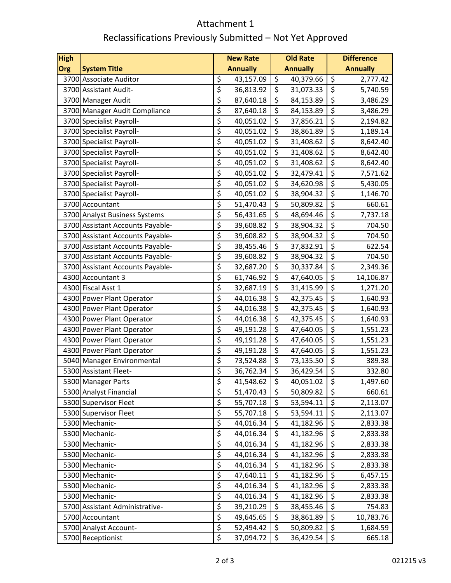## Attachment 1 Reclassifications Previously Submitted – Not Yet Approved

| <b>High</b> |                                                        |          | <b>New Rate</b>        |                        | <b>Old Rate</b>        |                                     | <b>Difference</b>    |
|-------------|--------------------------------------------------------|----------|------------------------|------------------------|------------------------|-------------------------------------|----------------------|
| Org         | <b>System Title</b>                                    |          | <b>Annually</b>        |                        | <b>Annually</b>        |                                     | <b>Annually</b>      |
|             | 3700 Associate Auditor                                 | \$       | 43,157.09              | \$                     | 40,379.66              | \$                                  | 2,777.42             |
|             | 3700 Assistant Audit-                                  | \$       | 36,813.92              | $\overline{\xi}$       | 31,073.33              | $\overline{\xi}$                    | 5,740.59             |
|             | 3700 Manager Audit                                     | \$       | 87,640.18              | \$                     | 84,153.89              | $\overline{\varsigma}$              | 3,486.29             |
|             | 3700 Manager Audit Compliance                          | \$       | 87,640.18              | \$                     | 84,153.89              | \$                                  | 3,486.29             |
|             | 3700 Specialist Payroll-                               | \$       | 40,051.02              | $\overline{\xi}$       | 37,856.21              | \$                                  | 2,194.82             |
|             | 3700 Specialist Payroll-                               | \$       | 40,051.02              | \$                     | 38,861.89              | \$                                  | 1,189.14             |
|             | 3700 Specialist Payroll-                               | \$       | 40,051.02              | \$                     | 31,408.62              | $\overline{\xi}$                    | 8,642.40             |
|             | 3700 Specialist Payroll-                               | \$       | 40,051.02              | $\overline{\varsigma}$ | 31,408.62              | $\overline{\varsigma}$              | 8,642.40             |
|             | 3700 Specialist Payroll-                               | \$       | 40,051.02              | \$                     | 31,408.62              | \$                                  | 8,642.40             |
|             | 3700 Specialist Payroll-                               | \$       | 40,051.02              | \$                     | 32,479.41              | $\overline{\xi}$                    | 7,571.62             |
|             | 3700 Specialist Payroll-                               | \$       | 40,051.02              | \$                     | 34,620.98              | $\overline{\xi}$                    | 5,430.05             |
|             | 3700 Specialist Payroll-                               | \$       | 40,051.02              | \$                     | 38,904.32              | \$                                  | 1,146.70             |
|             | 3700 Accountant                                        | \$       | 51,470.43              | \$                     | 50,809.82              | $\overline{\xi}$                    | 660.61               |
|             | 3700 Analyst Business Systems                          | \$       | 56,431.65              | \$                     | 48,694.46              | \$                                  | 7,737.18             |
|             | 3700 Assistant Accounts Payable-                       | \$       | 39,608.82              | \$                     | 38,904.32              | \$                                  | 704.50               |
|             | 3700 Assistant Accounts Payable-                       | \$       | 39,608.82              | $\overline{\xi}$       | 38,904.32              | \$                                  | 704.50               |
|             | 3700 Assistant Accounts Payable-                       | \$       | 38,455.46              | \$                     | 37,832.91              | \$                                  | 622.54               |
|             | 3700 Assistant Accounts Payable-                       | \$       | 39,608.82              | \$                     | 38,904.32              | $\overline{\xi}$                    | 704.50               |
|             | 3700 Assistant Accounts Payable-                       | \$       | 32,687.20              | \$                     | 30,337.84              | $\overline{\xi}$                    | 2,349.36             |
|             | 4300 Accountant 3                                      | \$<br>\$ | 61,746.92              | \$<br>\$               | 47,640.05              | \$<br>$\overline{\xi}$              | 14,106.87            |
|             | 4300 Fiscal Asst 1                                     | \$       | 32,687.19              | \$                     | 31,415.99              | $\overline{\xi}$                    | 1,271.20             |
|             | 4300 Power Plant Operator                              | \$       | 44,016.38              | \$                     | 42,375.45              | $\overline{\xi}$                    | 1,640.93             |
|             | 4300 Power Plant Operator<br>4300 Power Plant Operator | \$       | 44,016.38<br>44,016.38 | $\overline{\varsigma}$ | 42,375.45<br>42,375.45 | $\overline{\varsigma}$              | 1,640.93<br>1,640.93 |
|             | 4300 Power Plant Operator                              | \$       | 49,191.28              | \$                     | 47,640.05              | $\overline{\xi}$                    | 1,551.23             |
|             | 4300 Power Plant Operator                              | \$       | 49,191.28              | \$                     | 47,640.05              | \$                                  | 1,551.23             |
|             | 4300 Power Plant Operator                              | \$       | 49,191.28              | $\overline{\xi}$       | 47,640.05              | \$                                  | 1,551.23             |
|             | 5040 Manager Environmental                             | \$       | 73,524.88              | \$                     | 73,135.50              | $\overline{\xi}$                    | 389.38               |
|             | 5300 Assistant Fleet-                                  | \$       | 36,762.34              | \$                     | 36,429.54              | $\overline{\varsigma}$              | 332.80               |
|             | 5300 Manager Parts                                     | \$       | 41,548.62              | $\overline{\xi}$       | 40,051.02              | $\overline{\boldsymbol{\varsigma}}$ | 1,497.60             |
|             | 5300 Analyst Financial                                 | \$       | 51,470.43              | \$                     | 50,809.82              | \$                                  | 660.61               |
|             | 5300 Supervisor Fleet                                  | \$       | 55,707.18              | \$                     | 53,594.11              | \$                                  | 2,113.07             |
|             | 5300 Supervisor Fleet                                  | \$       | 55,707.18              | \$                     | 53,594.11              | \$                                  | 2,113.07             |
|             | 5300 Mechanic-                                         | \$       | 44,016.34              | \$                     | 41,182.96              | \$                                  | 2,833.38             |
|             | 5300 Mechanic-                                         | \$       | 44,016.34              | \$                     | 41,182.96              | \$                                  | 2,833.38             |
|             | 5300 Mechanic-                                         | \$       | 44,016.34              | \$                     | 41,182.96              | \$                                  | 2,833.38             |
|             | 5300 Mechanic-                                         | \$       | 44,016.34              | \$                     | 41,182.96              | $\overline{\varsigma}$              | 2,833.38             |
|             | 5300 Mechanic-                                         | \$       | 44,016.34              | \$                     | 41,182.96              | \$                                  | 2,833.38             |
|             | 5300 Mechanic-                                         | \$       | 47,640.11              | \$                     | 41,182.96              | \$                                  | 6,457.15             |
|             | 5300 Mechanic-                                         | \$       | 44,016.34              | \$                     | 41,182.96              | \$                                  | 2,833.38             |
|             | 5300 Mechanic-                                         | \$       | 44,016.34              | $\overline{\xi}$       | 41,182.96              | \$                                  | 2,833.38             |
|             | 5700 Assistant Administrative-                         | \$       | 39,210.29              | \$                     | 38,455.46              | \$                                  | 754.83               |
|             | 5700 Accountant                                        | \$       | 49,645.65              | \$                     | 38,861.89              | \$                                  | 10,783.76            |
|             | 5700 Analyst Account-                                  | \$       | 52,494.42              | \$                     | 50,809.82              | \$                                  | 1,684.59             |
|             | 5700 Receptionist                                      | \$       | 37,094.72              | \$                     | 36,429.54              | \$                                  | 665.18               |